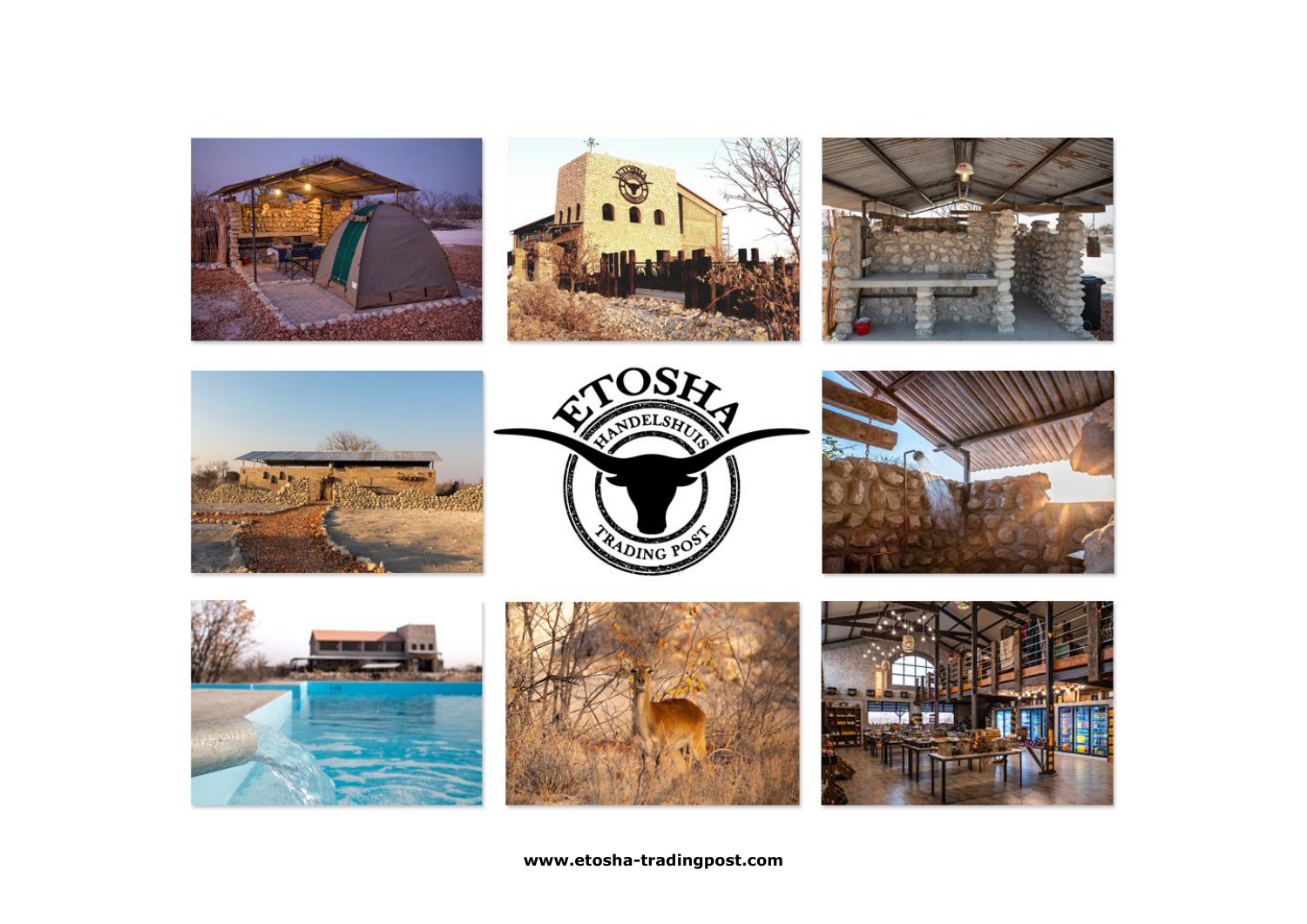

**www.etosha-tradingpost.com**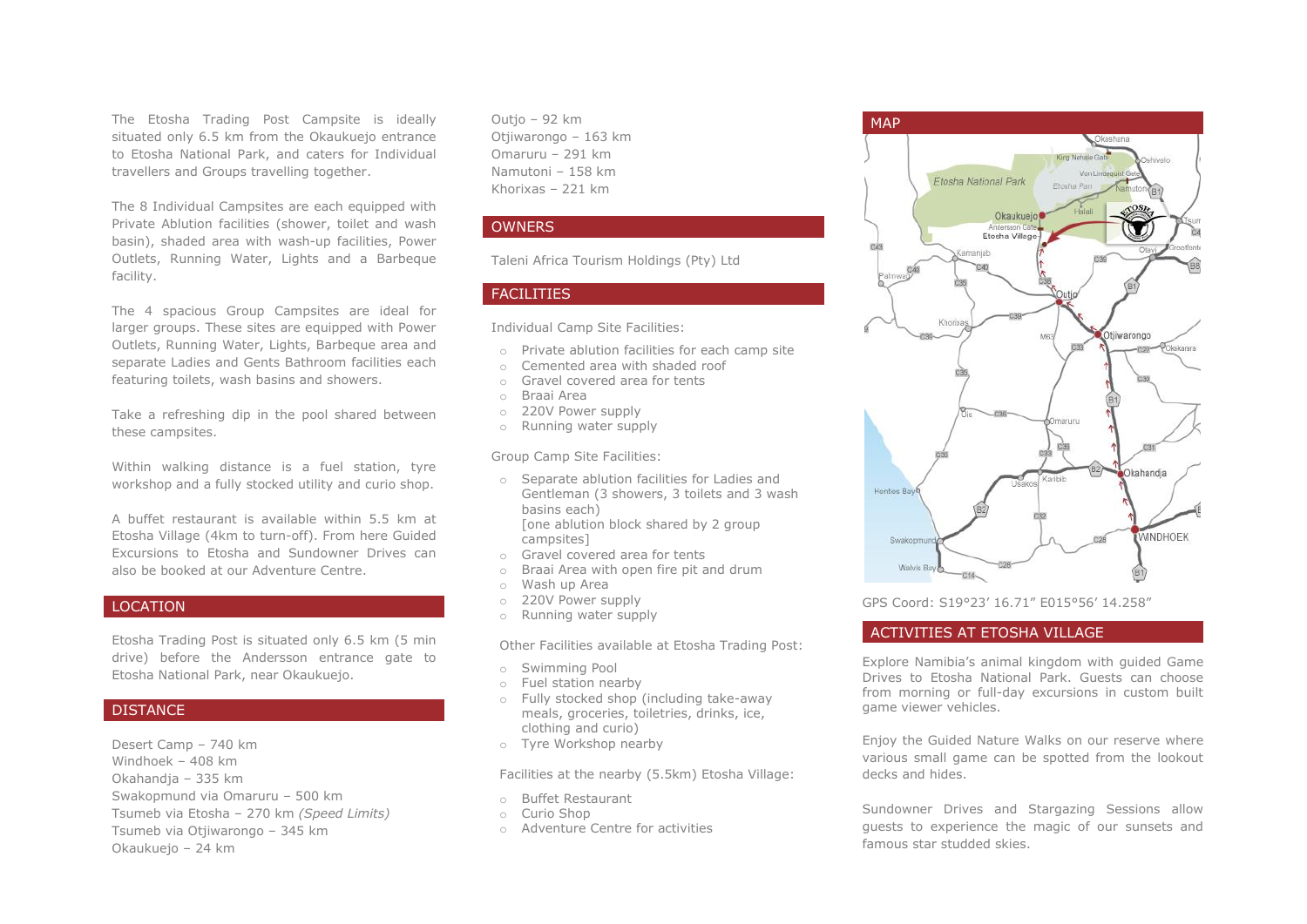The Etosha Trading Post Campsite is ideally situated only 6.5 km from the Okaukuejo entrance to Etosha National Park, and caters for Individual travellers and Groups travelling together.

The 8 Individual Campsites are each equipped with Private Ablution facilities (shower, toilet and wash basin), shaded area with wash-up facilities, Power Outlets, Running Water, Lights and a Barbeque facility.

The 4 spacious Group Campsites are ideal for larger groups. These sites are equipped with Power Outlets, Running Water, Lights, Barbeque area and separate Ladies and Gents Bathroom facilities each featuring toilets, wash basins and showers.

Take a refreshing dip in the pool shared between these campsites.

Within walking distance is a fuel station, tyre workshop and a fully stocked utility and curio shop.

A buffet restaurant is available within 5.5 km at Etosha Village (4km to turn-off). From here Guided Excursions to Etosha and Sundowner Drives can also be booked at our Adventure Centre.

### LOCATION

Etosha Trading Post is situated only 6.5 km (5 min drive) before the Andersson entrance gate to Etosha National Park, near Okaukuejo.

# **DISTANCE**

Desert Camp – 740 km Windhoek – 408 km Okahandja – 335 km Swakopmund via Omaruru – 500 km Tsumeb via Etosha – 270 km *(Speed Limits)* Tsumeb via Otjiwarongo – 345 km Okaukuejo – 24 km

Outjo – 92 km Otjiwarongo – 163 km Omaruru – 291 km Namutoni – 158 km Khorixas – 221 km

# **OWNERS**

Taleni Africa Tourism Holdings (Pty) Ltd

# FACILITIES

Individual Camp Site Facilities:

- o Private ablution facilities for each camp site
- o Cemented area with shaded roof
- o Gravel covered area for tents
- o Braai Area
- o 220V Power supply
- o Running water supply

Group Camp Site Facilities:

- o Separate ablution facilities for Ladies and Gentleman (3 showers, 3 toilets and 3 wash basins each) [one ablution block shared by 2 group campsites]
- o Gravel covered area for tents
- o Braai Area with open fire pit and drum
- o Wash up Area
- o 220V Power supply
- o Running water supply

Other Facilities available at Etosha Trading Post:

- o Swimming Pool
- o Fuel station nearby
- o Fully stocked shop (including take-away meals, groceries, toiletries, drinks, ice, clothing and curio)
- o Tyre Workshop nearby

Facilities at the nearby (5.5km) Etosha Village:

- o Buffet Restaurant
- o Curio Shop
- o Adventure Centre for activities



GPS Coord: S19°23' 16.71" E015°56' 14.258"

# ACTIVITIES AT ETOSHA VILLAGE

Explore Namibia's animal kingdom with guided Game Drives to Etosha National Park. Guests can choose from morning or full-day excursions in custom built game viewer vehicles.

Enjoy the Guided Nature Walks on our reserve where various small game can be spotted from the lookout decks and hides.

Sundowner Drives and Stargazing Sessions allow guests to experience the magic of our sunsets and famous star studded skies.